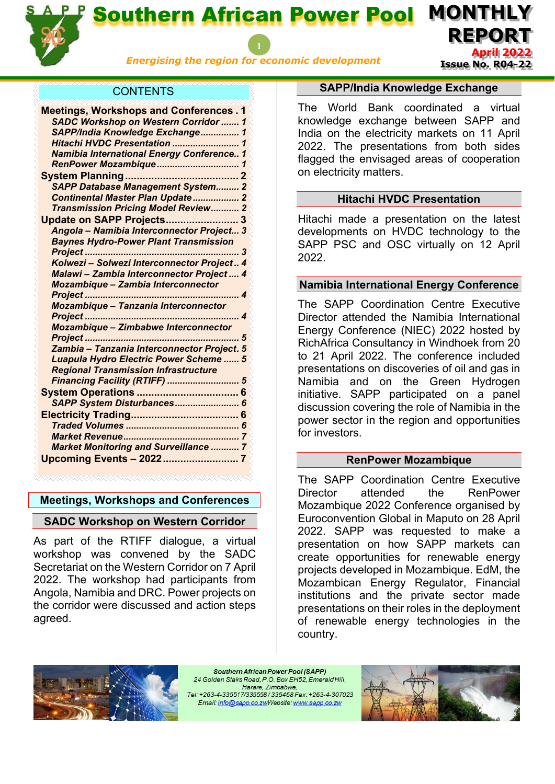

Southern African Power Pool

*Energising the region for economic development*

**April 2022 Issue No. R04-22**

**REPORT**

**MONTHLY** 

# **CONTENTS**

| <b>Meetings, Workshops and Conferences. 1</b>    |
|--------------------------------------------------|
| <b>SADC Workshop on Western Corridor  1</b>      |
| SAPP/India Knowledge Exchange 1                  |
| Hitachi HVDC Presentation<br>1                   |
| <b>Namibia International Energy Conference 1</b> |
| RenPower Mozambique<br>1                         |
|                                                  |
| <b>SAPP Database Management System 2</b>         |
| Continental Master Plan Update 2                 |
| Transmission Pricing Model Review 2              |
| Update on SAPP Projects 3                        |
| Angola - Namibia Interconnector Project 3        |
| <b>Baynes Hydro-Power Plant Transmission</b>     |
| 3                                                |
| Kolwezi - Solwezi Interconnector Project 4       |
| Malawi - Zambia Interconnector Project  4        |
| <b>Mozambique - Zambia Interconnector</b>        |
| 4                                                |
| Mozambique - Tanzania Interconnector             |
|                                                  |
| <b>Mozambique - Zimbabwe Interconnector</b>      |
| 5                                                |
| Zambia - Tanzania Interconnector Project. 5      |
| Luapula Hydro Electric Power Scheme  5           |
| <b>Regional Transmission Infrastructure</b>      |
| Financing Facility (RTIFF)  5                    |
|                                                  |
| SAPP System Disturbances                         |
|                                                  |
|                                                  |
|                                                  |
| <b>Market Monitoring and Surveillance  7</b>     |
| Upcoming Events - 2022<br>7                      |
|                                                  |

#### <span id="page-0-0"></span>**Meetings, Workshops and Conferences**

# <span id="page-0-1"></span>**SADC Workshop on Western Corridor**

As part of the RTIFF dialogue, a virtual workshop was convened by the SADC Secretariat on the Western Corridor on 7 April 2022. The workshop had participants from Angola, Namibia and DRC. Power projects on the corridor were discussed and action steps agreed.

#### **SAPP/India Knowledge Exchange**

<span id="page-0-2"></span>The World Bank coordinated a virtual knowledge exchange between SAPP and India on the electricity markets on 11 April 2022. The presentations from both sides flagged the envisaged areas of cooperation on electricity matters.

# **Hitachi HVDC Presentation**

<span id="page-0-3"></span>Hitachi made a presentation on the latest developments on HVDC technology to the SAPP PSC and OSC virtually on 12 April 2022.

# <span id="page-0-4"></span>**Namibia International Energy Conference**

The SAPP Coordination Centre Executive Director attended the Namibia International Energy Conference (NIEC) 2022 hosted by RichAfrica Consultancy in Windhoek from 20 to 21 April 2022. The conference included presentations on discoveries of oil and gas in Namibia and on the Green Hydrogen initiative. SAPP participated on a panel discussion covering the role of Namibia in the power sector in the region and opportunities for investors.

# **RenPower Mozambique**

<span id="page-0-5"></span>The SAPP Coordination Centre Executive Director attended the RenPower Mozambique 2022 Conference organised by Euroconvention Global in Maputo on 28 April 2022. SAPP was requested to make a presentation on how SAPP markets can create opportunities for renewable energy projects developed in Mozambique. EdM, the Mozambican Energy Regulator, Financial institutions and the private sector made presentations on their roles in the deployment of renewable energy technologies in the country.



Southern African Power Pool (SAPP) 24 Golden Stairs Road, P.O. Box EH52, Emerald Hill, Harare, Zimbabwe, Tel: +263-4-335517/335558/335468 Fax: +263-4-307023 Email: info@sapp.co.zwWebsite: www.sapp.co.zw

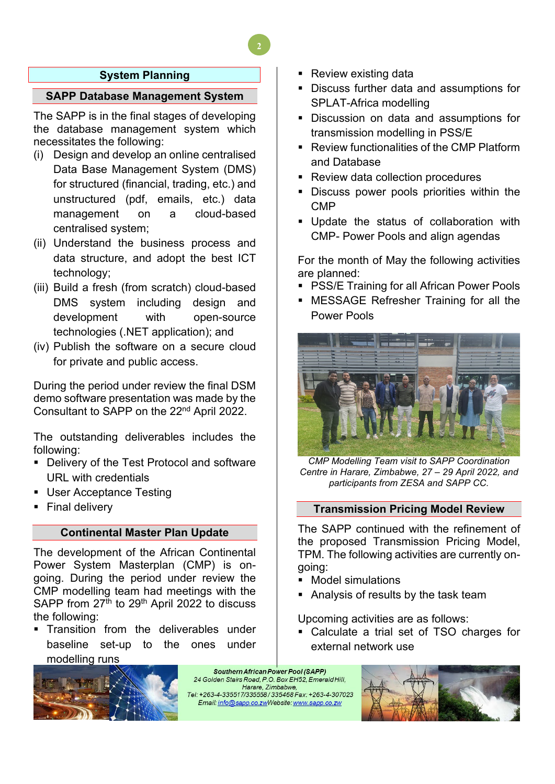# **System Planning**

# <span id="page-1-1"></span><span id="page-1-0"></span>**SAPP Database Management System**

The SAPP is in the final stages of developing the database management system which necessitates the following:

- (i) Design and develop an online centralised Data Base Management System (DMS) for structured (financial, trading, etc.) and unstructured (pdf, emails, etc.) data management on a cloud-based centralised system;
- (ii) Understand the business process and data structure, and adopt the best ICT technology;
- (iii) Build a fresh (from scratch) cloud-based DMS system including design and development with open-source technologies (.NET application); and
- (iv) Publish the software on a secure cloud for private and public access.

During the period under review the final DSM demo software presentation was made by the Consultant to SAPP on the 22nd April 2022.

The outstanding deliverables includes the following:

- **Delivery of the Test Protocol and software** URL with credentials
- User Acceptance Testing
- <span id="page-1-2"></span>Final delivery

#### **Continental Master Plan Update**

The development of the African Continental Power System Masterplan (CMP) is ongoing. During the period under review the CMP modelling team had meetings with the SAPP from 27<sup>th</sup> to 29<sup>th</sup> April 2022 to discuss the following:

- Transition from the deliverables under baseline set-up to the ones under modelling runs
- 
- Review existing data
- Discuss further data and assumptions for SPLAT-Africa modelling
- Discussion on data and assumptions for transmission modelling in PSS/E
- Review functionalities of the CMP Platform and Database
- **Review data collection procedures**
- **Discuss power pools priorities within the** CMP
- Update the status of collaboration with CMP- Power Pools and align agendas

For the month of May the following activities are planned:

- **PSS/E Training for all African Power Pools**
- MESSAGE Refresher Training for all the Power Pools



*CMP Modelling Team visit to SAPP Coordination Centre in Harare, Zimbabwe, 27 – 29 April 2022, and participants from ZESA and SAPP CC.* 

#### <span id="page-1-3"></span>**Transmission Pricing Model Review**

The SAPP continued with the refinement of the proposed Transmission Pricing Model, TPM. The following activities are currently ongoing:

- Model simulations
- **Analysis of results by the task team**

Upcoming activities are as follows:

 Calculate a trial set of TSO charges for external network use

Southern African Power Pool (SAPP) 24 Golden Stairs Road, P.O. Box EH52, Emerald Hill, Harare, Zimbabwe, Tel: +263-4-335517/335558/335468 Fax: +263-4-307023 Email: info@sapp.co.zwWebsite: www.sapp.co.zw

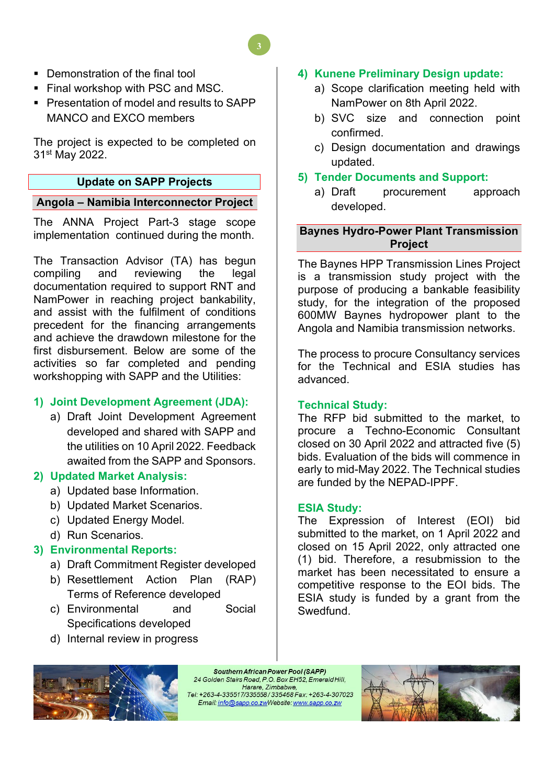- Demonstration of the final tool
- Final workshop with PSC and MSC.
- **Presentation of model and results to SAPP** MANCO and EXCO members

The project is expected to be completed on 31st May 2022.

# **Update on SAPP Projects**

# <span id="page-2-1"></span><span id="page-2-0"></span>**Angola – Namibia Interconnector Project**

The ANNA Project Part-3 stage scope implementation continued during the month.

The Transaction Advisor (TA) has begun compiling and reviewing the legal documentation required to support RNT and NamPower in reaching project bankability, and assist with the fulfilment of conditions precedent for the financing arrangements and achieve the drawdown milestone for the first disbursement. Below are some of the activities so far completed and pending workshopping with SAPP and the Utilities:

# **1) Joint Development Agreement (JDA):**

a) Draft Joint Development Agreement developed and shared with SAPP and the utilities on 10 April 2022. Feedback awaited from the SAPP and Sponsors.

# **2) Updated Market Analysis:**

- a) Updated base Information.
- b) Updated Market Scenarios.
- c) Updated Energy Model.
- d) Run Scenarios.

# **3) Environmental Reports:**

- a) Draft Commitment Register developed
- b) Resettlement Action Plan (RAP) Terms of Reference developed
- c) Environmental and Social Specifications developed
- d) Internal review in progress

# **4) Kunene Preliminary Design update:**

- a) Scope clarification meeting held with NamPower on 8th April 2022.
- b) SVC size and connection point confirmed.
- c) Design documentation and drawings updated.

# **5) Tender Documents and Support:**

a) Draft procurement approach developed.

# <span id="page-2-2"></span>**Baynes Hydro-Power Plant Transmission Project**

The Baynes HPP Transmission Lines Project is a transmission study project with the purpose of producing a bankable feasibility study, for the integration of the proposed 600MW Baynes hydropower plant to the Angola and Namibia transmission networks.

The process to procure Consultancy services for the Technical and ESIA studies has advanced.

# **Technical Study:**

The RFP bid submitted to the market, to procure a Techno-Economic Consultant closed on 30 April 2022 and attracted five (5) bids. Evaluation of the bids will commence in early to mid-May 2022. The Technical studies are funded by the NEPAD-IPPF.

# **ESIA Study:**

The Expression of Interest (EOI) bid submitted to the market, on 1 April 2022 and closed on 15 April 2022, only attracted one (1) bid. Therefore, a resubmission to the market has been necessitated to ensure a competitive response to the EOI bids. The ESIA study is funded by a grant from the Swedfund.



Southern African Power Pool (SAPP) 24 Golden Stairs Road, P.O. Box EH52, Emerald Hill, Harare, Zimbabwe, Tel: +263-4-335517/335558/335468 Fax: +263-4-307023 Email: info@sapp.co.zwWebsite: www.sapp.co.zw

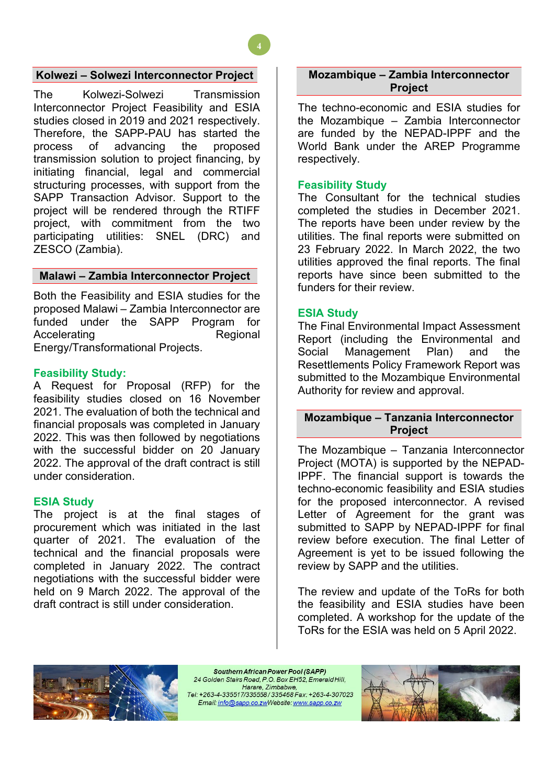# <span id="page-3-0"></span>**Kolwezi – Solwezi Interconnector Project**

The Kolwezi-Solwezi Transmission Interconnector Project Feasibility and ESIA studies closed in 2019 and 2021 respectively. Therefore, the SAPP-PAU has started the process of advancing the proposed transmission solution to project financing, by initiating financial, legal and commercial structuring processes, with support from the SAPP Transaction Advisor. Support to the project will be rendered through the RTIFF project, with commitment from the two participating utilities: SNEL (DRC) and ZESCO (Zambia).

#### <span id="page-3-1"></span>**Malawi – Zambia Interconnector Project**

Both the Feasibility and ESIA studies for the proposed Malawi – Zambia Interconnector are funded under the SAPP Program for Accelerating Regional Energy/Transformational Projects.

#### **Feasibility Study:**

A Request for Proposal (RFP) for the feasibility studies closed on 16 November 2021. The evaluation of both the technical and financial proposals was completed in January 2022. This was then followed by negotiations with the successful bidder on 20 January 2022. The approval of the draft contract is still under consideration.

#### **ESIA Study**

The project is at the final stages of procurement which was initiated in the last quarter of 2021. The evaluation of the technical and the financial proposals were completed in January 2022. The contract negotiations with the successful bidder were held on 9 March 2022. The approval of the draft contract is still under consideration.

## <span id="page-3-2"></span>**Mozambique – Zambia Interconnector Project**

The techno-economic and ESIA studies for the Mozambique – Zambia Interconnector are funded by the NEPAD-IPPF and the World Bank under the AREP Programme respectively.

#### **Feasibility Study**

**4**

The Consultant for the technical studies completed the studies in December 2021. The reports have been under review by the utilities. The final reports were submitted on 23 February 2022. In March 2022, the two utilities approved the final reports. The final reports have since been submitted to the funders for their review.

#### **ESIA Study**

The Final Environmental Impact Assessment Report (including the Environmental and Social Management Plan) and the Resettlements Policy Framework Report was submitted to the Mozambique Environmental Authority for review and approval.

#### <span id="page-3-3"></span>**Mozambique – Tanzania Interconnector Project**

The Mozambique – Tanzania Interconnector Project (MOTA) is supported by the NEPAD-IPPF. The financial support is towards the techno-economic feasibility and ESIA studies for the proposed interconnector. A revised Letter of Agreement for the grant was submitted to SAPP by NEPAD-IPPF for final review before execution. The final Letter of Agreement is yet to be issued following the review by SAPP and the utilities.

The review and update of the ToRs for both the feasibility and ESIA studies have been completed. A workshop for the update of the ToRs for the ESIA was held on 5 April 2022.



Southern African Power Pool (SAPP) 24 Golden Stairs Road, P.O. Box EH52, Emerald Hill, Harare, Zimbabwe, Tel: +263-4-335517/335558/335468 Fax: +263-4-307023 Email: info@sapp.co.zwWebsite: www.sapp.co.zw

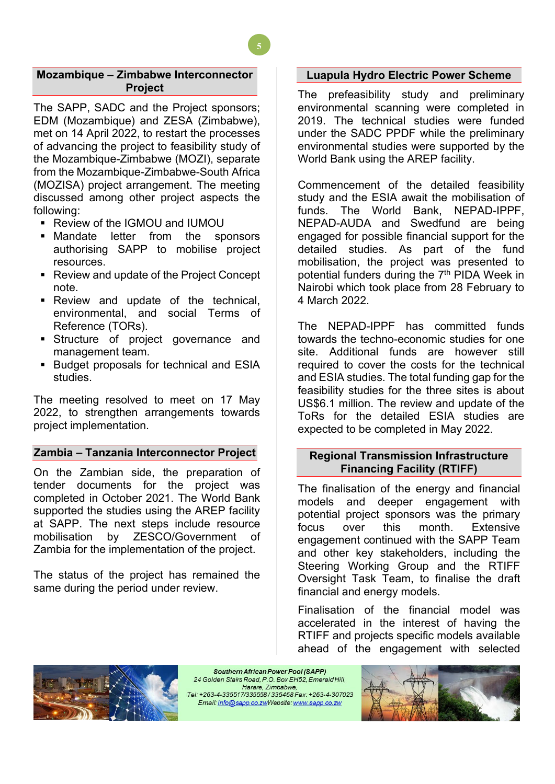## <span id="page-4-0"></span>**Mozambique – Zimbabwe Interconnector Project**

**5**

The SAPP, SADC and the Project sponsors; EDM (Mozambique) and ZESA (Zimbabwe), met on 14 April 2022, to restart the processes of advancing the project to feasibility study of the Mozambique-Zimbabwe (MOZI), separate from the Mozambique-Zimbabwe-South Africa (MOZISA) project arrangement. The meeting discussed among other project aspects the following:

- Review of the IGMOU and IUMOU
- **Mandate letter from the sponsors** authorising SAPP to mobilise project resources.
- Review and update of the Project Concept note.
- Review and update of the technical, environmental, and social Terms of Reference (TORs).
- **Structure of project governance and** management team.
- **Budget proposals for technical and ESIA** studies.

The meeting resolved to meet on 17 May 2022, to strengthen arrangements towards project implementation.

# <span id="page-4-1"></span>**Zambia – Tanzania Interconnector Project**

On the Zambian side, the preparation of tender documents for the project was completed in October 2021. The World Bank supported the studies using the AREP facility at SAPP. The next steps include resource mobilisation by ZESCO/Government of Zambia for the implementation of the project.

The status of the project has remained the same during the period under review.

# <span id="page-4-2"></span>**Luapula Hydro Electric Power Scheme**

The prefeasibility study and preliminary environmental scanning were completed in 2019. The technical studies were funded under the SADC PPDF while the preliminary environmental studies were supported by the World Bank using the AREP facility.

Commencement of the detailed feasibility study and the ESIA await the mobilisation of funds. The World Bank, NEPAD-IPPF, NEPAD-AUDA and Swedfund are being engaged for possible financial support for the detailed studies. As part of the fund mobilisation, the project was presented to potential funders during the 7<sup>th</sup> PIDA Week in Nairobi which took place from 28 February to 4 March 2022.

The NEPAD-IPPF has committed funds towards the techno-economic studies for one site. Additional funds are however still required to cover the costs for the technical and ESIA studies. The total funding gap for the feasibility studies for the three sites is about US\$6.1 million. The review and update of the ToRs for the detailed ESIA studies are expected to be completed in May 2022.

## <span id="page-4-3"></span>**Regional Transmission Infrastructure Financing Facility (RTIFF)**

The finalisation of the energy and financial models and deeper engagement with potential project sponsors was the primary focus over this month. Extensive engagement continued with the SAPP Team and other key stakeholders, including the Steering Working Group and the RTIFF Oversight Task Team, to finalise the draft financial and energy models.

Finalisation of the financial model was accelerated in the interest of having the RTIFF and projects specific models available ahead of the engagement with selected



Southern African Power Pool (SAPP) 24 Golden Stairs Road, P.O. Box EH52, Emerald Hill, Harare, Zimbabwe, Tel: +263-4-335517/335558/335468 Fax: +263-4-307023 Email: info@sapp.co.zwWebsite: www.sapp.co.zw

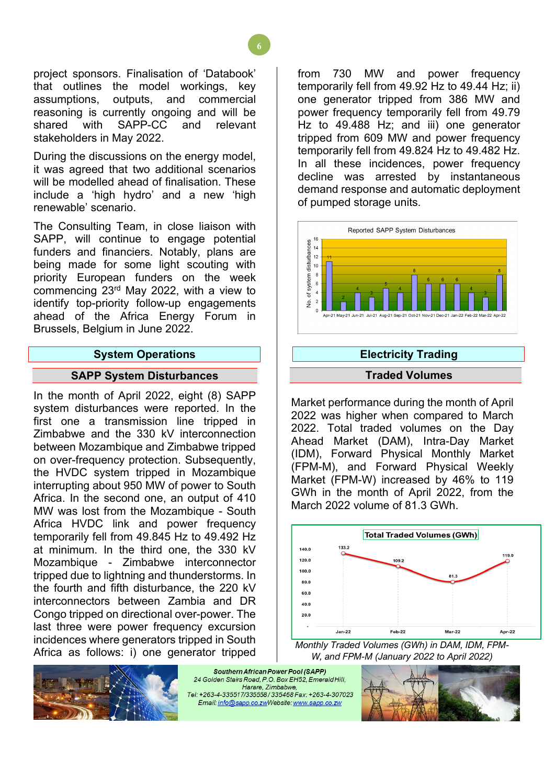project sponsors. Finalisation of 'Databook' that outlines the model workings, key assumptions, outputs, and commercial reasoning is currently ongoing and will be shared with SAPP-CC and relevant stakeholders in May 2022.

During the discussions on the energy model, it was agreed that two additional scenarios will be modelled ahead of finalisation. These include a 'high hydro' and a new 'high renewable' scenario.

The Consulting Team, in close liaison with SAPP, will continue to engage potential funders and financiers. Notably, plans are being made for some light scouting with priority European funders on the week commencing 23rd May 2022, with a view to identify top-priority follow-up engagements ahead of the Africa Energy Forum in Brussels, Belgium in June 2022.

#### **System Operations**

#### <span id="page-5-0"></span>**SAPP System Disturbances**

<span id="page-5-1"></span>In the month of April 2022, eight (8) SAPP system disturbances were reported. In the first one a transmission line tripped in Zimbabwe and the 330 kV interconnection between Mozambique and Zimbabwe tripped on over-frequency protection. Subsequently, the HVDC system tripped in Mozambique interrupting about 950 MW of power to South Africa. In the second one, an output of 410 MW was lost from the Mozambique - South Africa HVDC link and power frequency temporarily fell from 49.845 Hz to 49.492 Hz at minimum. In the third one, the 330 kV Mozambique - Zimbabwe interconnector tripped due to lightning and thunderstorms. In the fourth and fifth disturbance, the 220 kV interconnectors between Zambia and DR Congo tripped on directional over-power. The last three were power frequency excursion incidences where generators tripped in South Africa as follows: i) one generator tripped from 730 MW and power frequency temporarily fell from 49.92 Hz to 49.44 Hz; ii) one generator tripped from 386 MW and power frequency temporarily fell from 49.79 Hz to 49.488 Hz; and iii) one generator tripped from 609 MW and power frequency temporarily fell from 49.824 Hz to 49.482 Hz. In all these incidences, power frequency decline was arrested by instantaneous demand response and automatic deployment of pumped storage units.



# **Electricity Trading**

## **Traded Volumes**

<span id="page-5-3"></span><span id="page-5-2"></span>Market performance during the month of April 2022 was higher when compared to March 2022. Total traded volumes on the Day Ahead Market (DAM), Intra-Day Market (IDM), Forward Physical Monthly Market (FPM-M), and Forward Physical Weekly Market (FPM-W) increased by 46% to 119 GWh in the month of April 2022, from the March 2022 volume of 81.3 GWh.



*Monthly Traded Volumes (GWh) in DAM, IDM, FPM-W, and FPM-M (January 2022 to April 2022)*



Southern African Power Pool (SAPP) 24 Golden Stairs Road, P.O. Box EH52, Emerald Hill. Harare, Zimbabwe, Tel: +263-4-335517/335558/335468 Fax: +263-4-307023 Email: info@sapp.co.zwWebsite: www.sapp.co.zw